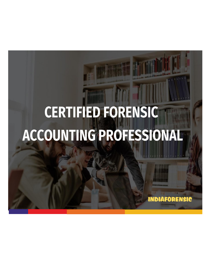# **CERTIFIED FORENSIC** ACCOUNTING PROFESSIONAL

**INDIAFORENSIC**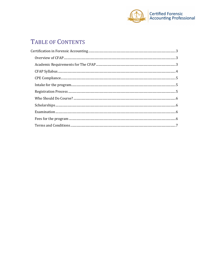

# TABLE OF CONTENTS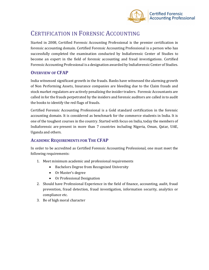

# <span id="page-2-0"></span>CERTIFICATION IN FORENSIC ACCOUNTING

Started in 2008, Certified Forensic Accounting Professional is the premier certification in forensic accounting domain. Certified Forensic Accounting Professional is a person who has successfully completed the examination conducted by Indiaforensic Center of Studies to become an expert in the field of forensic accounting and fraud investigations. Certified Forensic Accounting Professional is a designation awarded by Indiaforensic Center of Studies.

## <span id="page-2-1"></span>**OVERVIEW OF CFAP**

India witnessed significant growth in the frauds. Banks have witnessed the alarming growth of Non Performing Assets, Insurance companies are bleeding due to the Claim frauds and stock market regulators are actively penalizing the insider traders. Forensic Accountants are called in for the frauds perpetrated by the insiders and forensic auditors are called in to audit the books to identify the red flags of frauds.

Certified Forensic Accounting Professional is a Gold standard certification in the forensic accounting domain. It is considered as benchmark for the commerce students in India. It is one of the toughest courses in the country. Started with focus on India, today the members of Indiaforensic are present in more than 7 countries including Nigeria, Oman, Qatar, UAE, Uganda and others.

## <span id="page-2-2"></span>**ACADEMIC REQUIREMENTS FOR THE CFAP**

In order to be accredited as Certified Forensic Accounting Professional, one must meet the following requirements:

- 1. Meet minimum academic and professional requirements
	- Bachelors Degree from Recognized University
	- Or Master's degree
	- Or Professional Designation
- 2. Should have Professional Experience in the field of finance, accounting, audit, fraud prevention, fraud detection, fraud investigation, information security, analytics or compliance etc.
- 3. Be of high moral character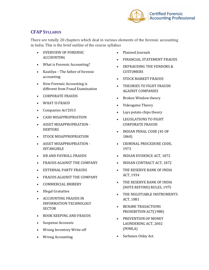

# <span id="page-3-0"></span>**CFAP SYLLABUS**

There are totally 20 chapters which deal in various elements of the forensic accounting in India. This is the brief outline of the course syllabus

- OVERVIEW OF FORENSIC ACCOUNTING
- What is Forensic Accounting?
- Kautilya The father of forensic accounting
- How Forensic Accounting is different from Fraud Examination
- CORPORATE FRAUDS
- WHAT IS FRAUD
- Companies Act'2013
- CASH MISAPPROPRIATION
- ASSET MISAPPROPRIATION DEBTORS
- STOCK MISAPPROPRIATION
- ASSET MISAPPROPRIATION INTANGIBLE
- HR AND PAYROLL FRAUDS
- FRAUDS AGAINST THE COMPANY
- EXTERNAL PARTY FRAUDS
- FRAUDS AGAINST THE COMPANY
- COMMERCIAL BRIBERY
- Illegal Gratuities
- ACCOUNTING FRAUDS IN INFORMATION TECHNOLOGY **SECTOR**
- BOOK KEEPING AND FRAUDS
- Suspense Accounts
- Wrong Inventory Write-off
- Wrong Accounting
- Planned Journals
- FINANCIAL STATEMENT FRAUDS
- DEFRAUDING THE VENDORS & CUSTOMERS
- STOCK MARKET FRAUDS
- THEORIES TO FIGHT FRAUDS AGAINST COMPANIES
- Broken Window theory
- Videogame Theory
- Lays potato chips theory
- LEGISLATIONS TO FIGHT CORPORATE FRAUDS
- INDIAN PENAL CODE (45 OF 1860)
- CRIMINAL PROCEDURE CODE, 1973
- INDIAN EVIDENCE ACT, 1872
- INDIAN CONTRACT ACT, 1872
- THE RESERVE BANK OF INDIA ACT, 1934
- THE RESERVE BANK OF INDIA (NOTE REFUND) RULES, 1975
- THE NEGOTIABLE INSTRUMENTS ACT, 1881
- BENAMI TRASACTIONS PROHIBITION ACT(1988)
- PREVENTION OF MONEY LAUNDERING ACT, 2002 (POMLA)
- <span id="page-3-1"></span>• Sarbanes Oxley Act.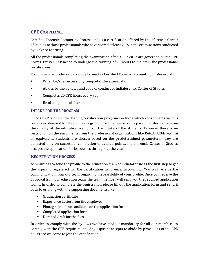# **CPE COMPLIANCE**

Certified Forensic Accounting Professional is a certification offered by Indiaforensic Center of Studies to those professionals who have scored at least 75% in the examinations conducted by Riskpro Learning.

All the professionals completing the examination after 31.12.2012 are governed by the CPE norms. Every CFAP needs to undergo the training of 20 hours to maintain the professional certification.

To Summarize, professional can be termed as Certified Forensic Accounting Professional:

- When he/she successfully completes the examination
- Abides by the by-laws and code of conduct of Indiaforensic Center of Studies
- Completes 20 CPE hours every year
- Be of a high moral character

#### <span id="page-4-0"></span>**INTAKE FOR THE PROGRAM**

Since CFAP is one of the leading certification programs in India which consolidates various resources, demand for this course is growing with a tremendous pace. In order to maintain the quality of the education we control the intake of the students. However there is no restriction on the enrolments from the professional organisations like ISACA, ACFE and IIA or equivalent. Students are chosen based on the predetermined parameters. They are admitted only on successful completion of desired points. Indiaforensic Center of Studies accepts the application for its courses throughout the year.

#### <span id="page-4-1"></span>**REGISTRATION PROCESS**

Aspirant has to send the profile to the Education team of Indiaforensic as the first step to get the aspirant registered for the certification in forensic accounting. You will receive the communication from our team regarding the feasibility of your profile. Once you receive the approval from our education team, the team member will send you the required application forms. In order to complete the registration please fill out the application form and send it back to us along with the supporting documents like

- $\checkmark$  Graduation certificate
- $\checkmark$  Experience Letter from the employer
- $\checkmark$  Photograph of the candidate on the application form
- $\checkmark$  Completed application form
- $\checkmark$  Demand draft for the fees

<span id="page-4-2"></span>In order to comply with the by-laws we have made it mandatory for all our members to comply with the CPE requirements. Any aspirant accepts to abide by provisions of the CPE hours are welcome to Join the certification.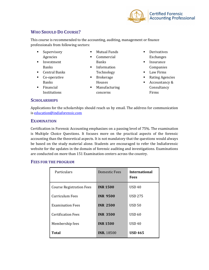

# **WHO SHOULD DO COURSE?**

This course is recommended to the accounting, auditing, management or finance professionals from following sectors:

- Supervisory Agencies
- **·** Investment Banks
- Central Banks
- Co-operative Banks
- Financial Institutions
- Mutual Funds
- Commercial Banks
- Information Technology
- Brokerage
- Houses ■ Manufacturing
- concerns
- Derivatives Exchanges
- Insurance Companies
- Law Firms
- Rating Agencies
- Accountancy & Consultancy Firms

#### <span id="page-5-0"></span>**SCHOLARSHIPS**

Applications for the scholarships should reach us by email. The address for communication is [education@indiaforensic.com](mailto:education@indiaforensic.com)

#### <span id="page-5-1"></span>**EXAMINATION**

Certification in Forensic Accounting emphasizes on a passing level of 75%. The examination is Multiple Choice Questions. It focuses more on the practical aspects of the forensic accounting than the theoretical aspects. It is not mandatory that the questions would always be based on the study material alone. Students are encouraged to refer the Indiaforensic website for the updates in the domain of forensic auditing and investigations. Examinations are conducted on more than 151 Examination centers across the country.

#### <span id="page-5-2"></span>**FEES FOR THE PROGRAM**

| Particulars                     | Domestic Fees     | <b>International</b><br><b>Fees</b> |
|---------------------------------|-------------------|-------------------------------------|
| <b>Course Registration Fees</b> | <b>INR 1500</b>   | <b>USD 40</b>                       |
| Curriculum Fees                 | <b>INR 9500</b>   | <b>USD 275</b>                      |
| <b>Examination Fees</b>         | <b>INR 2500</b>   | USD <sub>50</sub>                   |
| <b>Certification Fees</b>       | <b>INR 3500</b>   | <b>USD 60</b>                       |
| Membership fees                 | <b>INR 1500</b>   | <b>USD 40</b>                       |
| Total                           | <b>INR. 18500</b> | <b>USD 465</b>                      |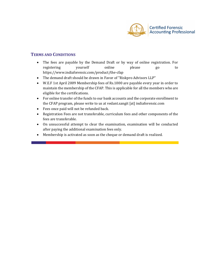

### <span id="page-6-0"></span>**TERMS AND CONDITIONS**

- The fees are payable by the Demand Draft or by way of online registration. For registering yourself online please go to https://www.indiaforensic.com/product/the-cfap
- The demand draft should be drawn in Favor of "Riskpro Advisors LLP"
- W.E.F 1st April 2009 Membership fees of Rs.1000 are payable every year in order to maintain the membership of the CFAP. This is applicable for all the members who are eligible for the certifications.
- For online transfer of the funds to our bank accounts and the corporate enrollment to the CFAP program, please write to us at vedant.sangit [at] indiaforensic.com
- Fees once paid will not be refunded back.
- Registration Fees are not transferable, curriculum fees and other components of the fees are transferable.
- On unsuccessful attempt to clear the examination, examination will be conducted after paying the additional examination fees only.
- Membership is activated as soon as the cheque or demand draft is realized.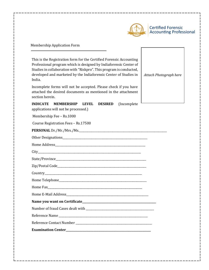

Membership Application Form

This is the Registration form for the Certified Forensic Accounting Professional program which is designed by Indiaforensic Center of Studies in collaboration with "Riskpro". This program is conducted, developed and marketed by the Indiaforensic Center of Studies in India.

Incomplete forms will not be accepted. Please check if you have attached the desired documents as mentioned in the attachment section herein.

*Attach Photograph here*

**INDICATE MEMBERSHIP LEVEL DESIRED** (Incomplete

applications will not be processed.)

Membership Fee – Rs.1000

Course Registration Fees – Rs.17500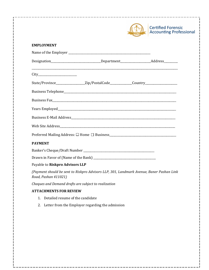|                                                                                                                  | <b>Certified Forensic</b><br><b>Accounting Professional</b> |
|------------------------------------------------------------------------------------------------------------------|-------------------------------------------------------------|
| <b>EMPLOYMENT</b>                                                                                                |                                                             |
|                                                                                                                  |                                                             |
| Designation__________________________________Department_________________________Address____________              |                                                             |
|                                                                                                                  |                                                             |
| State/Province__________________Zip/PostalCode______________Country_____________                                 |                                                             |
|                                                                                                                  |                                                             |
|                                                                                                                  |                                                             |
|                                                                                                                  |                                                             |
|                                                                                                                  |                                                             |
|                                                                                                                  |                                                             |
|                                                                                                                  |                                                             |
| <b>PAYMENT</b>                                                                                                   |                                                             |
|                                                                                                                  |                                                             |
|                                                                                                                  |                                                             |
| Payable to Riskpro Advisors LLP                                                                                  |                                                             |
| (Payment should be sent to Riskpro Advisors LLP, 301, Landmark Avenue, Baner Pashan Link<br>Road, Pashan 411021) |                                                             |

*Cheques and Demand drafts are subject to realization* 

# **ATTACHMENTS FOR REVIEW**

- 1. Detailed resume of the candidate
- 2. Letter from the Employer regarding the admission